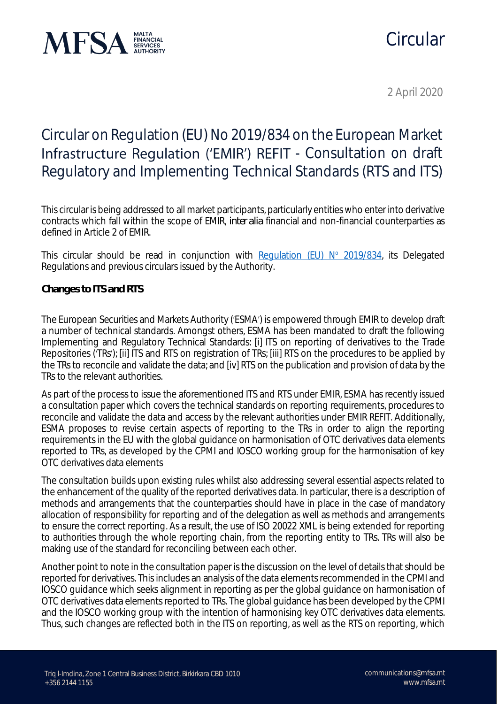

## **Circular**

2 April 2020

## Circular on Regulation (EU) No 2019/834 on the European Market Infrastructure Regulation ('EMIR') REFIT - Consultation on draft Regulatory and Implementing Technical Standards (RTS and ITS)

This circular is being addressed to all market participants, particularly entities who enter into derivative contracts which fall within the scope of EMIR, *inter alia* financial and non-financial counterparties as defined in Article 2 of EMIR.

This circular should be read in conjunction with Regulation (EU)  $N^{\circ}$  2019/834, its Delegated Regulations and previous circulars issued by the Authority.

**Changes to ITS and RTS**

The European Securities and Markets Authority ('ESMA') is empowered through EMIR to develop draft a number of technical standards. Amongst others, ESMA has been mandated to draft the following Implementing and Regulatory Technical Standards: [i] ITS on reporting of derivatives to the Trade Repositories (TRs'); [ii] ITS and RTS on registration of TRs; [iii] RTS on the procedures to be applied by the TRs to reconcile and validate the data; and [iv] RTS on the publication and provision of data by the TRs to the relevant authorities.

As part of the process to issue the aforementioned ITS and RTS under EMIR, ESMA has recently issued a consultation paper which covers the technical standards on reporting requirements, procedures to reconcile and validate the data and access by the relevant authorities under EMIR REFIT. Additionally, ESMA proposes to revise certain aspects of reporting to the TRs in order to align the reporting requirements in the EU with the global guidance on harmonisation of OTC derivatives data elements reported to TRs, as developed by the CPMI and IOSCO working group for the harmonisation of key OTC derivatives data elements

The consultation builds upon existing rules whilst also addressing several essential aspects related to the enhancement of the quality of the reported derivatives data. In particular, there is a description of methods and arrangements that the counterparties should have in place in the case of mandatory allocation of responsibility for reporting and of the delegation as well as methods and arrangements to ensure the correct reporting. As a result, the use of ISO 20022 XML is being extended for reporting to authorities through the whole reporting chain, from the reporting entity to TRs. TRs will also be making use of the standard for reconciling between each other.

Another point to note in the consultation paper is the discussion on the level of details that should be reported for derivatives. This includes an analysis of the data elements recommended in the CPMI and IOSCO guidance which seeks alignment in reporting as per the global guidance on harmonisation of OTC derivatives data elements reported to TRs. The global guidance has been developed by the CPMI and the IOSCO working group with the intention of harmonising key OTC derivatives data elements. Thus, such changes are reflected both in the ITS on reporting, as well as the RTS on reporting, which